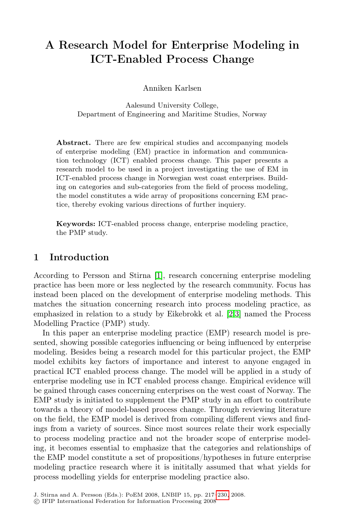# A Research Model for Enterprise Modeling in ICT-Enabled Process Change

## Anniken Karlsen

Aalesund University College, Department of Engineering and Maritime Studies, Norway

Abstract. There are few empirical studies and accompanying models of enterprise modeling (EM) practice in information and communication technology (ICT) enabled process change. This paper presents a research model to be used in a project investigating the use of EM in ICT-enabled process change in Norwegian west coast enterprises. Building on categories and sub-categories from the field of process modeling, the model constitutes a wide array of propositions concerning EM practice, there[by](#page-11-0) evoking various directions of further inquiery.

Keywords: ICT-enabled process change, enterprise modeling practice, the PMP study.

# 1 Introduction

According to Persson and Stirna [1], research concerning enterprise modeling practice has been more or less neglected by the research community. Focus has instead been placed on the development of enterprise modeling methods. This matches the situation concerning research into process modeling practice, as emphasized in relation to a study by Eikebrokk et al. [2,3] named the Process Modelling Practice (PMP) study.

In this paper an enterprise modeling practice (EMP) research model is presented, showing possible categories influencing or being influenced by enterprise modeling. Besides being a research model for this particular project, the EMP model exhibits key factors of importance and interest to anyone engaged in practical ICT enabled process change. The model will be applied in a study of enterprise modeling use in ICT enabled process change. Empirical evidence will be gained through cases concerning enterprises on the west coast of Norway. The EMP study is initiated to supplement the PMP study in an effort to contribute towards a theory of model-based process change. Through reviewing literature on the field, the EMP model is d[erive](#page-13-0)d from compiling different views and findings from a variety of sources. Since most sources relate their work especially to process modeling practice and not the broader scope of enterprise modeling, it becomes essential to emphasize that the categories and relationships of the EMP model constitute a set of propositions/hypotheses in future enterprise modeling practice research where it is inititally assumed that what yields for process modelling yields for enterprise modeling practice also.

J. Stirna and A. Persson (Eds.): PoEM 2008, LNBIP 15, pp. 217–230, 2008.

<sup>-</sup>c IFIP International Federation for Information Processing 2008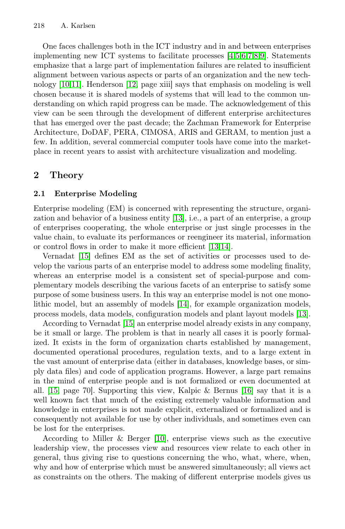One faces challenges both in the ICT industry and in and between enterprises implementing new ICT systems to facilitate processes [4,5,6,7,8,9]. Statements emphasize that a large part of implementation failures are related to insufficient alignment between various aspects or parts of an organization and the new technology [10,11]. Henderson [12, page xiii] says that emphasis on modeling is well chosen because it is shared models of systems that will lead to the common understanding on which rapid progress can be made. The acknowledgement of this view can be seen through the development of different enterprise architectures that has emerged over the past decade; the Zachman Framework for Enterprise Architecture, DoDAF, PERA, CIMOSA, ARIS and GERAM, to mention just a few. In addition, seve[ral](#page-12-0) commercial computer tools have come into the marketplace in recent years to assist with architecture visualization and modeling.

# 2 Theory

## 2.1 Enterprise Modeling

Enterprise modeling (EM) is concerned with representing the structure, organization and behavior of a business entity [13], i.e., a part of an enterprise, a group of enterprises coopera[ting](#page-12-1), the whole enterprise or just single processes in the value chain, to evaluate its performances or reengineer it[s m](#page-12-0)aterial, information or con[trol](#page-12-2) flows in order to make it more efficient [13,14].

Vernadat [15] defines EM as the set of activities or processes used to develop the various parts of an enterprise model to address some modeling finality, whereas an enterprise model is a consistent set of special-purpose and complementary models describing the various facets of an enterprise to satisfy some purpose of some business users. In this way an enterprise model is not one monolithic model, but an assembly of models [14], for example organization models, process models, data models, configurati[on m](#page-12-3)odels and plant layout models [13].

According to Vernadat [15] an enterprise model already exists in any company, be it small or large. The problem is that in nearly all cases it is poorly formalized. It exists in the form of organization charts established by management, documented operational procedures, regulation texts, and to a large extent in the vast amoun[t of](#page-12-4) enterprise data (either in databases, knowledge bases, or simply data files) and code of application programs. However, a large part remains in the mind of enterprise people and is not formalized or even documented at all. [15, page 70]. Supporting this view, Kalpic & Bernus [16] say that it is a well known fact that much of the existing extremely valuable information and knowledge in enterprises is not made explicit, externalized or formalized and is consequently not available for use by other individuals, and sometimes even can be lost for the enterprises.

According to Miller & Berger [10], enterprise views such as the executive leadership view, the processes view and resources view relate to each other in general, thus giving rise to questions concerning the who, what, where, when, why and how of enterprise which must be answered simultaneously; all views act as constraints on the others. The making of different enterprise models gives us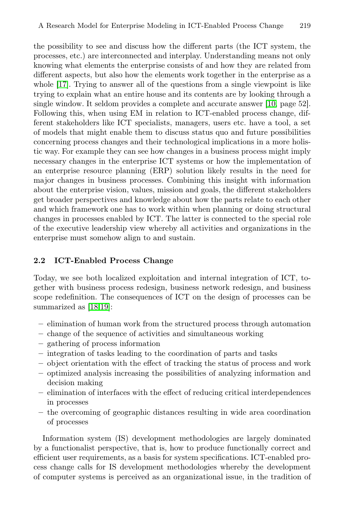the possibility to see and discuss how the different parts (the ICT system, the processes, etc.) are interconnected and interplay. Understanding means not only knowing what elements the enterprise consists of and how they are related from different aspects, but also how the elements work together in the enterprise as a whole [17]. Trying to answer all of the questions from a single viewpoint is like trying to explain what an entire house and its contents are by looking through a single window. It seldom provides a complete and accurate answer [10, page 52]. Following this, when using EM in relation to ICT-enabled process change, different stakeholders like ICT specialists, managers, users etc. have a tool, a set of models that might enable them to discuss status quo and future possibilities concerning process changes and their technological implications in a more holistic way. For example they can see how changes in a business process might imply necessary changes in the enterprise ICT systems or how the implementation of an enterprise resource planning (ERP) solution likely results in the need for major changes in business processes. Combining this insight with information about the enterprise vision, values, mission and goals, the different stakeholders get broader perspectives and knowledge about how the parts relate to each other and which framework one has to work within when planning or doing structural changes in processes enabled by ICT. The latter is connected to the special role [of t](#page-12-5)he executive leadership view whereby all activities and organizations in the enterprise must somehow align to and sustain.

## 2.2 ICT-Enabled Process Change

Today, we see both localized exploitation and internal integration of ICT, together with business process redesign, business network redesign, and business scope redefinition. The consequences of ICT on the design of processes can be summarized as [18,19]:

- elimination of human work from the structured process through automation
- change of the sequence of activities and simultaneous working
- gathering of process information
- integration of tasks leading to the coordination of parts and tasks
- object orientation with the effect of tracking the status of process and work
- optimized analysis increasing the possibilities of analyzing information and decision making
- elimination of interfaces with the effect of reducing critical interdependences in processes
- the overcoming of geographic distances resulting in wide area coordination of processes

Information system (IS) development methodologies are largely dominated by a functionalist perspective, that is, how to produce functionally correct and efficient user requirements, as a basis for system specifications. ICT-enabled process change calls for IS development methodologies whereby the development of computer systems is perceived as an organizational issue, in the tradition of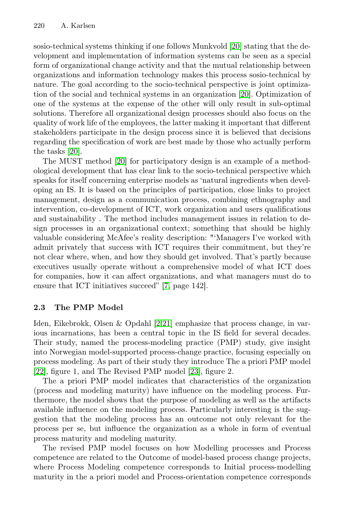sosio-technical systems thinking if one follows Munkvold [20] stating that the development and implementation of information systems can be seen as a special form of organizational change activity and that the mutual relationship between organizations and information technology makes this process sosio-technical by natu[re.](#page-12-6) The goal according to the socio-technical perspective is joint optimization of the social and technical systems in an organization [20]. Optimization of one of the systems at the expense of the other will only result in sub-optimal solutions. Therefore all organizational design processes should also focus on the quality of work life of the employees, the latter making it important that different stakeholders participate in the design process since it is believed that decisions regarding the specification of work are best made by those who actually perform the tasks [20].

The MUST method [20] for participatory design is an example of a methodological development that has clear link to the socio-technical perspective which speaks for itself concerning enterprise models as 'natural ingredients when developing an IS. It is based on the principles of participation, close links to project management, design as a communication process, combining ethnography and intervention, co-d[eve](#page-12-7)lopment of ICT, work organization and users qualifications and sustainability . The method includes management issues in relation to design processes in an organizational context; something that should be highly valuable considering McAfee's reality description: "'Managers I've worked with admit privately [t](#page-11-1)[hat](#page-12-8) success with ICT requires their commitment, but they're not clear where, when, and how they should get involved. That's partly because executives usually operate without a comprehensive model of what ICT does for companies, how it can affect organizations, and what managers must do to ensure that ICT initiatives succeed" [7, page 142].

#### 2.3 The PMP Model

Iden, Eikebrokk, Olsen & Opdahl [2,21] emphasize that process change, in various incarnations, has been a central topic in the IS field for several decades. Their study, named the process-modeling practice (PMP) study, give insight into Norwegian model-supported process-change practice, focusing especially on process modeling. As part of their study they introduce The a priori PMP model [22], figure 1, and The Revised PMP model [23], figure 2.

The a priori PMP model indicates that characteristics of the organization (process and modeling maturity) have influence on the modeling process. Furthermore, the model shows that the purpose of modeling as well as the artifacts available influence on the modeling process. Particularly interesting is the suggestion that the modeling process has an outcome not only relevant for the process per se, but influence the organization as a whole in form of eventual process maturity and modeling maturity.

The revised PMP model focuses on how Modelling processes and Process competence are related to the Outcome of model-based process change projects, where Process Modeling competence corresponds to Initial process-modelling maturity in the a priori model and Process-orientation competence corresponds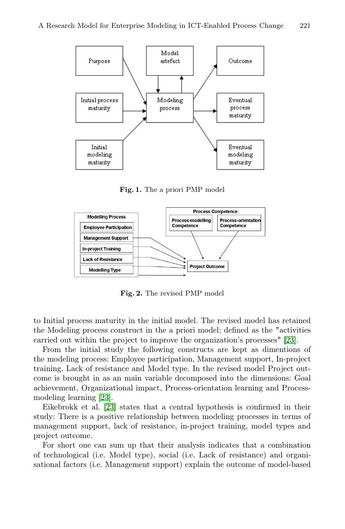### A Research Model for Enterprise Modeling in ICT-Enabled Process Change 221



Fig. 1. The a priori PMP model



Fig. 2. The revised PMP model

[to I](#page-12-9)nitial process maturity in the initial model. The revised model has retained t[he M](#page-12-9)odeling process construct in the a priori model; defined as the "activities carried out within the project to improve the organization's processes" [23].

From the initial study the following constructs are kept as dimentions of the modeling process: Employee participation, Management support, In-project training, Lack of resistance and Model type. In the revised model Project outcome is brought in as an main variable decomposed into the dimensions: Goal achievement, Organizational impact, Process-orientation learning and Processmodeling learning [23].

Eikebrokk et al. [23] states that a central hypothesis is confirmed in their study: There is a positive relationship between modeling processes in terms of management support, lack of resistance, in-project training, model types and project outcome.

For short one can sum up that their analysis indicates that a combination of technological (i.e. Model type), social (i.e. Lack of resistance) and organisational factors (i.e. Management support) explain the outcome of model-based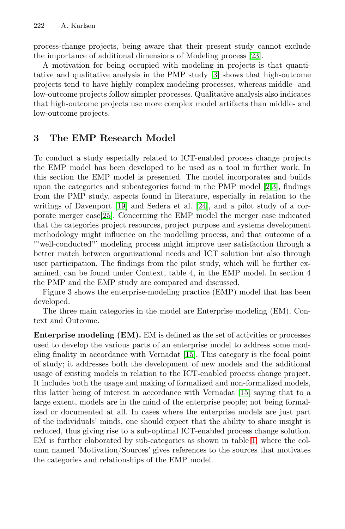process-change projects, being aware that their present study cannot exclude the importance of additional dimensions of Modeling process [23].

A motivation for being occupied with modeling in projects is that quantitative and qualitative analysis in the PMP study [3] shows that high-outcome projects tend to have highly complex modeling processes, whereas middle- and low-outcome projects follow simpler processes. Qualitative analysis also indicates that high-outcome projects use more complex model artifacts than middle- and low-outcome projects.

# [3](#page-12-11) [Th](#page-12-5)e EMP Resea[rch](#page-12-10) Model

To conduct a study especially related to ICT-enabled process change projects the EMP model has been developed to be used as a tool in further work. In this section the EMP model is presented. The model incorporates and builds upon the categories and subcategories found in the PMP model [2,3], findings from the PMP study, aspects found in literature, especially in relation to the writings of Davenport [19] and Sedera et al. [24], and a pilot study of a corporate merger case[25]. Concerning the EMP model the merger case indicated that the categories project resources, project purpose and systems development methodology might influence on the modelling process, and that outcome of a "'well-conducted"' modeling process might improve user satisfaction through a better match between organizational needs and ICT solution but also through user participation. The findings from the pilot study, which will be further examined, can be found under Context, table 4, in the EMP model. In section 4 the PMP and the EMP [stu](#page-12-2)dy are compared and discussed.

Figure 3 shows the enterprise-modeling practice (EMP) model that has been developed.

The three main categories in the model are Enterprise modeling (EM), Context and Outcome.

Enterprise modeling (EM). EM is defined as the set of activities or processes used to develop the various parts of an enterprise model to address some modeling finality in accordance with Vernadat [15]. This category is the focal point of study; it addresses both the developme[nt](#page-7-0) of new models and the additional usage of existing models in relation to the ICT-enabled process change project. It includes both the usage and making of formalized and non-formalized models, this latter being of interest in accordance with Vernadat [15] saying that to a large extent, models are in the mind of the enterprise people; not being formalized or documented at all. In cases where the enterprise models are just part of the individuals' minds, one should expect that the ability to share insight is reduced, thus giving rise to a sub-optimal ICT-enabled process change solution. EM is further elaborated by sub-categories as shown in table 1, where the column named 'Motivation/Sources' gives references to the sources that motivates the categories and relationships of the EMP model.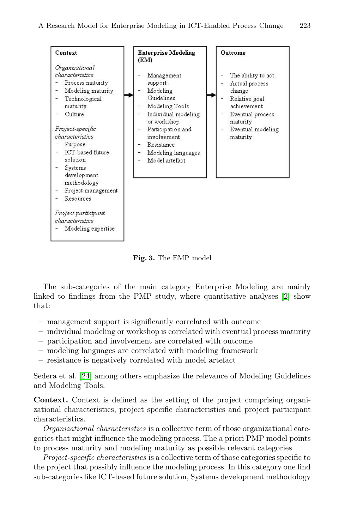#### A Research Model for Enterprise Modeling in ICT-Enabled Process Change 223



Fig. 3. The EMP model

The sub-categories of the main category Enterprise Modeling are mainly linked to findings from the PMP study, where quantitative analyses [2] show that:

- management support is significantly correlated with outcome
- individual modeling or workshop is correlated with eventual process maturity
- participation and involvement are correlated with outcome
- modeling languages are correlated with modeling framework
- resistance is negatively correlated with model artefact

Sedera et al. [24] among others emphasize the relevance of Modeling Guidelines and Modeling Tools.

Context. Context is defined as the setting of the project comprising organizational characteristics, project specific characteristics and project participant characteristics.

*Organizational characteristics* is a collective term of those organizational categories that might influence the modeling process. The a priori PMP model points to process maturity and modeling maturity as possible relevant categories.

*Project-specific characteristics* is a collective term of those categories specific to the project that possibly influence the modeling process. In this category one find sub-categories like ICT-based future solution, Systems development methodology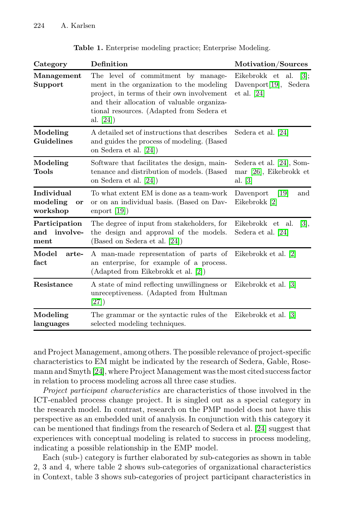| Table 1. Enterprise modeling practice; Enterprise Modeling. |  |  |  |  |  |  |
|-------------------------------------------------------------|--|--|--|--|--|--|
|-------------------------------------------------------------|--|--|--|--|--|--|

<span id="page-7-0"></span>

| Category                                 | Definition                                                                                                                                                                                                                            | Motivation/Sources                                                      |  |
|------------------------------------------|---------------------------------------------------------------------------------------------------------------------------------------------------------------------------------------------------------------------------------------|-------------------------------------------------------------------------|--|
| Management<br>Support                    | The level of commitment by manage-<br>ment in the organization to the modeling<br>project, in terms of their own involvement<br>and their allocation of valuable organiza-<br>tional resources. (Adapted from Sedera et<br>al. $[24]$ | Eikebrokk et al.<br>[3];<br>Davenport[19],<br>Sedera<br>$et$ al. $ 24 $ |  |
| Modeling<br>Guidelines                   | A detailed set of instructions that describes<br>and guides the process of modeling. (Based<br>on Sedera et al. [24])                                                                                                                 | Sedera et al. [24]                                                      |  |
| Modeling<br><b>Tools</b>                 | Software that facilitates the design, main-<br>tenance and distribution of models. (Based<br>on Sedera et al. [24])                                                                                                                   | Sedera et al. [24], Som-<br>mar [26], Eikebrokk et<br>al. $[3]$         |  |
| Individual<br>modeling<br>or<br>workshop | To what extent EM is done as a team-work<br>or on an individual basis. (Based on Dav-<br>enport $[19]$                                                                                                                                | Davenport<br> 19 <br>and<br>Eikebrokk [2]                               |  |
| Participation<br>and involve-<br>ment    | The degree of input from stakeholders, for<br>the design and approval of the models.<br>(Based on Sedera et al. [24])                                                                                                                 | Eikebrokk et al.<br>[3],<br>Sedera et al. [24]                          |  |
| Model<br>arte-<br>fact                   | A man-made representation of parts of<br>an enterprise, for example of a process.<br>(Adapted from Eikebrokk et al. [2])                                                                                                              | Eikebrokk et al. [2]                                                    |  |
| Resistance                               | A state of mind reflecting unwillingness or<br>unreceptiveness. (Adapted from Hultman<br>[27]                                                                                                                                         | Eikebrokk et al. [3]                                                    |  |
| Modeling<br>languages                    | The grammar or the syntactic rules of the<br>selected modeling techniques.                                                                                                                                                            | Eikebrokk et al. [3]                                                    |  |

and Project Management, among others. The [pos](#page-12-10)sible relevance of project-specific characteristics to EM might be indicated by the research of Sedera, Gable, Rosemann and Smyth [24], where Project Management was the most cited success factor in relation to process modeling across all three case studies.

*Project participant characteristics* are characteristics of those involved in the ICT-enabled process change project. It is singled out as a special category in the research model. In contrast, research on the PMP model does not have this perspective as an embedded unit of analysis. In conjunction with this category it can be mentioned that findings from the research of Sedera et al. [24] suggest that experiences with conceptual modeling is related to success in process modeling, indicating a possible relationship in the EMP model.

Each (sub-) category is further elaborated by sub-categories as shown in table 2, 3 and 4, where table 2 shows sub-categories of organizational characteristics in Context, table 3 shows sub-categories of project participant characteristics in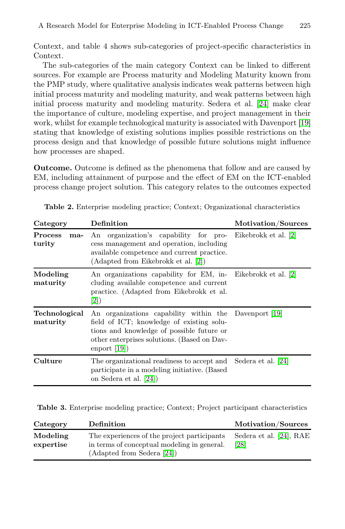A Research Model for Enterprise Modeling in I[CT-](#page-12-10)Enabled Process Change 225

Context, and table 4 shows sub-categories of project-sp[ecifi](#page-12-5)c characteristics in Context.

The sub-categories of the main category Context can be linked to different sources. For example are Process maturity and Modeling Maturity known from the PMP study, where qualitative analysis indicates weak patterns between high initial process maturity and modeling maturity, and weak patterns between high initial process maturity and modeling maturity. Sedera et al. [24] make clear the importance of culture, modeling expertise, and project management in their work, whilst for example technological maturity is associated with Davenport [19] stating that knowledge of existing solutions implies possible restrictions on the process design and that knowledge of possible future solutions might influence how processes are shaped.

Outcome. Outcome is defined as the phenomena that follow and are caused by EM, including attainment of purpose and the effect of EM on the ICT-enabled process change project solu[tio](#page-11-1)n. This category relates to the outcomes expected

| Category                        | Definition                                                                                                                                                                                                      | Motivation/Sources   |
|---------------------------------|-----------------------------------------------------------------------------------------------------------------------------------------------------------------------------------------------------------------|----------------------|
| <b>Process</b><br>ma-<br>turity | organization's capability for pro-<br>An<br>cess management and operation, including<br>available competence and current practice.<br>(Adapted from Eikebrokk et al. [2])                                       | Eikebrokk et al. [2] |
| Modeling<br>maturity            | An organizations capability for EM, in- Eikebrokk et al. [2]<br>cluding available competence and current<br>practice. (Adapted from Eikebrokk et al.<br>[2]                                                     |                      |
| Technological<br>maturity       | An organizations capability within the Davenport [19]<br>field of ICT; knowledge of existing solu-<br>tions and knowledge of possible future or<br>other enterprises solutions. (Based on Dav-<br>enport $[19]$ |                      |
| Culture                         | The organizational readiness to accept and<br>participate in a modeling initiative. (Based<br>on Sedera et al. [24])                                                                                            | Sedera et al. 24     |

Table 2. Enterprise modeling practice; Context; Organizational characteristics

Table 3. Enterprise modeling practice; Context; Project participant characteristics

| Category  | Definition                                  | Motivation/Sources      |
|-----------|---------------------------------------------|-------------------------|
| Modeling  | The experiences of the project participants | Sedera et al. [24], RAE |
| expertise | in terms of conceptual modeling in general. | [28]                    |
|           | (Adapted from Sedera [24])                  |                         |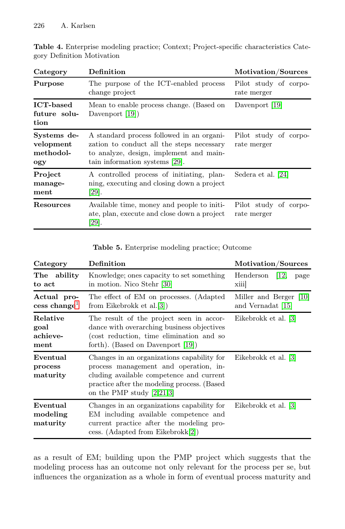Table 4. Enterprise modeling practice; Context; Project-specific characteristics Category Definition Motivation

| Category                                     | Definition                                                                                                                                                          | Motivation/Sources                   |
|----------------------------------------------|---------------------------------------------------------------------------------------------------------------------------------------------------------------------|--------------------------------------|
| Purpose                                      | The purpose of the ICT-enabled process<br>change project                                                                                                            | Pilot study of corpo-<br>rate merger |
| <b>ICT-based</b><br>future solu-<br>tion     | Mean to enable process change. (Based on<br>Davenport [19])                                                                                                         | Davenport [19]                       |
| Systems de-<br>velopment<br>methodol-<br>ogy | A standard process followed in an organi-<br>zation to conduct all the steps necessary<br>to analyze, design, implement and main-<br>tain information systems [29]. | Pilot study of corpo-<br>rate merger |
| Project<br>manage-<br>ment                   | A controlled process of initiating, plan-<br>ning, executing and closing down a project<br>$ 29 $ .                                                                 | Sedera et al. [24]                   |
| <b>Resources</b>                             | Available time, money and people to initi-<br>ate, plan, execute and close down a project<br>$[29]$ .                                                               | Pilot study of corpo-<br>rate merger |

|  |  | Table 5. Enterprise modeling practice; Outcome |  |  |  |
|--|--|------------------------------------------------|--|--|--|
|--|--|------------------------------------------------|--|--|--|

| Category                                        | Definition                                                                                                                                                                                                    | Motivation/Sources                          |
|-------------------------------------------------|---------------------------------------------------------------------------------------------------------------------------------------------------------------------------------------------------------------|---------------------------------------------|
| The ability<br>to act                           | Knowledge; ones capacity to set something<br>in motion. Nico Stehr [30]                                                                                                                                       | Henderson<br> 12,<br>page<br>xiiil          |
| Actual pro-<br>$\text{cess change}^1$           | The effect of EM on processes. (Adapted<br>from Eikebrokk et al.[3])                                                                                                                                          | Miller and Berger [10]<br>and Vernadat [15] |
| Relative<br>goal<br>achieve-<br>$\mathbf{ment}$ | The result of the project seen in accor-<br>dance with overarching business objectives<br>(cost reduction, time elimination and so<br>forth). (Based on Davenport [19])                                       | Eikebrokk et al. [3]                        |
| Eventual<br>process<br>maturity                 | Changes in an organizations capability for<br>process management and operation, in-<br>cluding available competence and current<br>practice after the modeling process. (Based<br>on the PMP study $ 2,21,3 $ | Eikebrokk et al. [3]                        |
| Eventual<br>modeling<br>maturity                | Changes in an organizations capability for<br>EM including available competence and<br>current practice after the modeling pro-<br>cess. (Adapted from Eikebrokk[2])                                          | Eikebrokk et al. [3]                        |

as a result of EM; building upon the PMP project which suggests that the modeling process has an outcome not only relevant for the process per se, but influences the organization as a whole in form of eventual process maturity and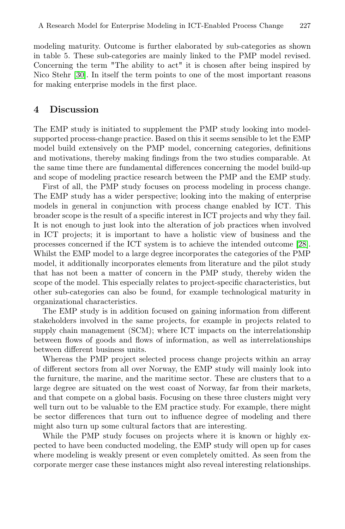modeling maturity. Outcome is further elaborated by sub-categories as shown in table 5. These sub-categories are mainly linked to the PMP model revised. Concerning the term "The ability to act" it is chosen after being inspired by Nico Stehr [30]. In itself the term points to one of the most important reasons for making enterprise models in the first place.

## 4 Discussion

The EMP study is initiated to supplement the PMP study looking into modelsupported process-change practice. Based on this it seems sensible to let the EMP model build extensively on the PMP model, concerning categories, definitions and motivations, thereby making findings from the two studies comparable. At the same time there are fundamental differences concern[ing](#page-13-2) the model build-up and scope of modeling practice research between the PMP and the EMP study.

First of all, the PMP study focuses on process modeling in process change. The EMP study has a wider perspective; looking into the making of enterprise models in general in conjunction with process change enabled by ICT. This broader scope is the result of a specific interest in ICT projects and why they fail. It is not enough to just look into the alteration of job practices when involved in ICT projects; it is important to have a holistic view of business and the processes concerned if the ICT system is to achieve the intended outcome [28]. Whilst the EMP model to a large degree incorporates the categories of the PMP model, it additionally incorporates elements from literature and the pilot study that has not been a matter of concern in the PMP study, thereby widen the scope of the model. This especially relates to project-specific characteristics, but other sub-categories can also be found, for example technological maturity in organizational characteristics.

The EMP study is in addition focused on gaining information from different stakeholders involved in the same projects, for example in projects related to supply chain management (SCM); where ICT impacts on the interrelationship between flows of goods and flows of information, as well as interrelationships between different business units.

Whereas the PMP project selected process change projects within an array of different sectors from all over Norway, the EMP study will mainly look into the furniture, the marine, and the maritime sector. These are clusters that to a large degree are situated on the west coast of Norway, far from their markets, and that compete on a global basis. Focusing on these three clusters might very well turn out to be valuable to the EM practice study. For example, there might be sector differences that turn out to influence degree of modeling and there might also turn up some cultural factors that are interesting.

While the PMP study focuses on projects where it is known or highly expected to have been conducted modeling, the EMP study will open up for cases where modeling is weakly present or even completely omitted. As seen from the corporate merger case these instances might also reveal interesting relationships.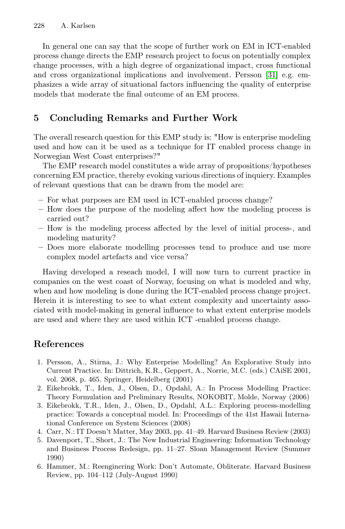In general one can say that the scope of further work on EM in ICT-enabled process change directs the EMP research project to focus on potentially complex change processes, with a high degree of organizational impact, cross functional and cross organizational implications and involvement. Persson [31] e.g. emphasizes a wide array of situational factors influencing the quality of enterprise models that moderate the final outcome of an EM process.

# 5 Concluding Remarks and Further Work

The overall research question for this EMP study is: "How is enterprise modeling used and how can it be used as a technique for IT enabled process change in Norwegian West Coast enterprises?"

The EMP research model constitutes a wide array of propositions/hypotheses concerning EM practice, thereby evoking various directions of inquiery. Examples of relevant questions that can be drawn from the model are:

- For what purposes are EM used in ICT-enabled process change?
- How does the purpose of the modeling affect how the modeling process is carried out?
- How is the modeling process affected by the level of initial process-, and modeling maturity?
- Does more elaborate modelling processes tend to produce and use more complex model artefacts and vice versa?

<span id="page-11-0"></span>Having developed a reseach model, I will now turn to current practice in companies on the west coast of Norway, focusing on what is modeled and why, when and how modeling is done during the ICT-enabled process change project. Herein it is interesting to see to what extent complexity and uncertainty associated with model-making in general influence to what extent enterprise models are used and where they are used within ICT -enabled process change.

# <span id="page-11-2"></span><span id="page-11-1"></span>References

- 1. Persson, A., Stirna, J.: Why Enterprise Modelling? An Explorative Study into Current Practice. In: Dittrich, K.R., Geppert, A., Norrie, M.C. (eds.) CAiSE 2001, vol. 2068, p. 465. Springer, Heidelberg (2001)
- 2. Eikebrokk, T., Iden, J., Olsen, D., Opdahl, A.: In Process Modelling Practice: Theory Formulation and Preliminary Results, NOKOBIT, Molde, Norway (2006)
- 3. Eikebrokk, T.R., Iden, J., Olsen, D., Opdahl, A.L.: Exploring process-modelling practice: Towards a conceptual model. In: Proceedings of the 41st Hawaii International Conference on System Sciences (2008)
- 4. Carr, N.: IT Doesn't Matter, May 2003, pp. 41–49. Harvard Business Review (2003)
- 5. Davenport, T., Short, J.: The New Industrial Engineering: Information Technology and Business Process Redesign, pp. 11–27. Sloan Management Review (Summer 1990)
- 6. Hammer, M.: Reenginering Work: Don't Automate, Obliterate. Harvard Business Review, pp. 104–112 (July-August 1990)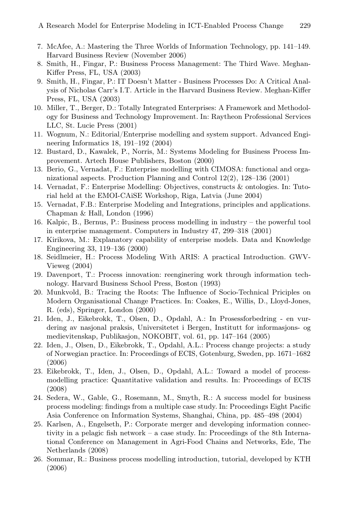- <span id="page-12-7"></span>7. McAfee, A.: Mastering the Three Worlds of Information Technology, pp. 141–149. Harvard Business Review (November 2006)
- 8. Smith, H., Fingar, P.: Business Process Management: The Third Wave. Meghan-Kiffer Press, FL, USA (2003)
- 9. Smith, H., Fingar, P.: IT Doesn't Matter Business Processes Do: A Critical Analysis of Nicholas Carr's I.T. Article in the Harvard Business Review. Meghan-Kiffer Press, FL, USA (2003)
- <span id="page-12-4"></span>10. Miller, T., Berger, D.: Totally Integrated Enterprises: A Framework and Methodology for Business and Technology Improvement. In: Raytheon Professional Services LLC, St. Lucie Press (2001)
- 11. Wognum, N.: Editorial/Enterprise modelling and system support. Advanced Engineering Informatics 18, 191–192 (2004)
- <span id="page-12-13"></span>12. Bustard, D., Kawalek, P., Norris, M.: Systems Modeling for Business Process Improvement. Artech House Publishers, Boston (2000)
- <span id="page-12-0"></span>13. Berio, G., Vernadat, F.: Enterprise modelling with CIMOSA: functional and organizational aspects. Production Planning and Control 12(2), 128–136 (2001)
- <span id="page-12-1"></span>14. Vernadat, F.: Enterprise Modelling: Objectives, constructs & ontologies. In: Tutorial held at the EMOI-CAiSE Workshop, Riga, Latvia (June 2004)
- <span id="page-12-2"></span>15. Vernadat, F.B.: Enterprise Modeling and Integrations, principles and applications. Chapman & Hall, London (1996)
- <span id="page-12-3"></span>16. Kalpic, B., Bernus, P.: Business process modelling in industry – the powerful tool in enterprise management. Computers in Industry 47, 299–318 (2001)
- 17. Kirikova, M.: Explanatory capability of enterprise models. Data and Knowledge Engineering 33, 119–136 (2000)
- 18. Seidlmeier, H.: Process Modeling With ARIS: A practical Introduction. GWV-Vieweg (2004)
- <span id="page-12-5"></span>19. Davenport, T.: Process innovation: reenginering work through information technology. Harvard Business School Press, Boston (1993)
- <span id="page-12-6"></span>20. Munkvold, B.: Tracing the Roots: The Influence of Socio-Technical Priciples on Modern Organisational Change Practices. In: Coakes, E., Willis, D., Lloyd-Jones, R. (eds), Springer, London (2000)
- <span id="page-12-8"></span>21. Iden, J., Eikebrokk, T., Olsen, D., Opdahl, A.: In Prosessforbedring - en vurdering av nasjonal praksis, Universitetet i Bergen, Institutt for informasjons- og medievitenskap, Publikasjon, NOKOBIT, vol. 61, pp. 147–164 (2005)
- 22. Iden, J., Olsen, D., Eikebrokk, T., Opdahl, A.L.: Process change projects: a study of Norwegian practice. In: Proceedings of ECIS, Gotenburg, Sweden, pp. 1671–1682 (2006)
- <span id="page-12-9"></span>23. Eikebrokk, T., Iden, J., Olsen, D., Opdahl, A.L.: Toward a model of processmodelling practice: Quantitative validation and results. In: Proceedings of ECIS (2008)
- <span id="page-12-10"></span>24. Sedera, W., Gable, G., Rosemann, M., Smyth, R.: A success model for business process modeling: findings from a multiple case study. In: Proceedings Eight Pacific Asia Conference on Information Systems, Shanghai, China, pp. 485–498 (2004)
- <span id="page-12-11"></span>25. Karlsen, A., Engelseth, P.: Corporate merger and developing information connectivity in a pelagic fish network – a case study. In: Proceedings of the 8th International Conference on Management in Agri-Food Chains and Networks, Ede, The Netherlands (2008)
- <span id="page-12-12"></span>26. Sommar, R.: Business process modelling introduction, tutorial, developed by KTH (2006)